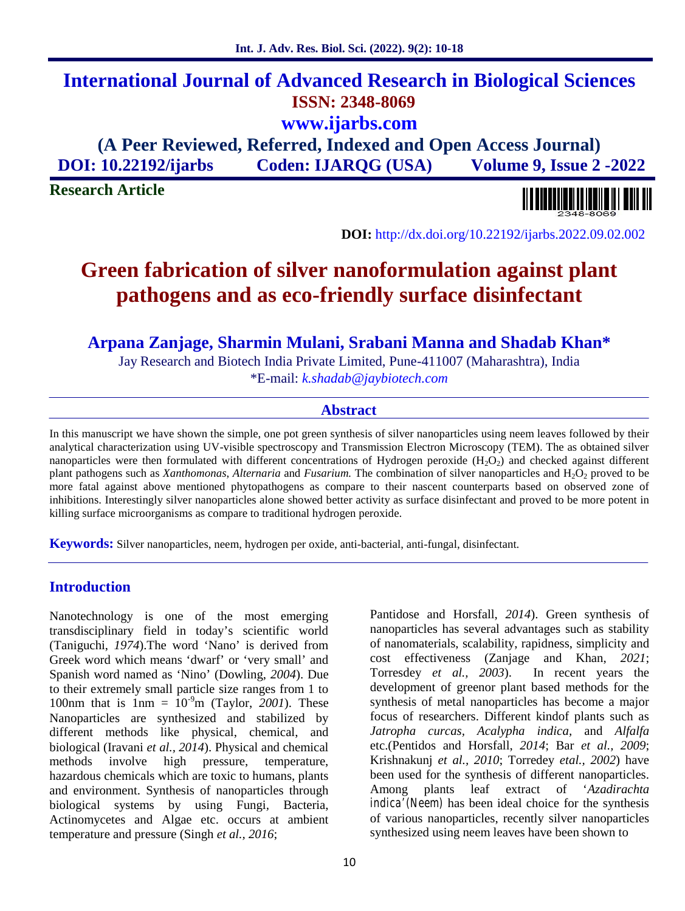# **International Journal of Advanced Research in Biological Sciences ISSN: 2348-8069 www.ijarbs.com**

**(A Peer Reviewed, Referred, Indexed and Open Access Journal) DOI: 10.22192/ijarbs Coden: IJARQG (USA) Volume 9, Issue 2 -2022**

**Research Article**



**DOI:** http://dx.doi.org/10.22192/ijarbs.2022.09.02.002

# **Green fabrication of silver nanoformulation against plant pathogens and as eco-friendly surface disinfectant**

**Arpana Zanjage, Sharmin Mulani, Srabani Manna and Shadab Khan\***

Jay Research and Biotech India Private Limited, Pune-411007 (Maharashtra), India \*E-mail: *k.shadab@jaybiotech.com*

## **Abstract**

In this manuscript we have shown the simple, one pot green synthesis of silver nanoparticles using neem leaves followed by their analytical characterization using UV-visible spectroscopy and Transmission Electron Microscopy (TEM). The as obtained silver nanoparticles were then formulated with different concentrations of Hydrogen peroxide  $(H_2O_2)$  and checked against different plant pathogens such as *Xanthomonas*, *Alternaria* and *Fusarium*. The combination of silver nanoparticles and H<sub>2</sub>O<sub>2</sub> proved to be more fatal against above mentioned phytopathogens as compare to their nascent counterparts based on observed zone of inhibitions. Interestingly silver nanoparticles alone showed better activity as surface disinfectant and proved to be more potent in killing surface microorganisms as compare to traditional hydrogen peroxide.

**Keywords:** Silver nanoparticles, neem, hydrogen per oxide, anti-bacterial, anti-fungal, disinfectant.

## **Introduction**

Nanotechnology is one of the most emerging transdisciplinary field in today's scientific world (Taniguchi, *1974*).The word 'Nano' is derived from Greek word which means 'dwarf' or 'very small' and Spanish word named as 'Nino' (Dowling, *2004*). Due to their extremely small particle size ranges from 1 to 100nm that is  $1 \text{nm} = 10^{-9} \text{m}$  (Taylor, 2001). These Nanoparticles are synthesized and stabilized by different methods like physical, chemical, and biological (Iravani *et al., 2014*). Physical and chemical methods involve high pressure, temperature, hazardous chemicals which are toxic to humans, plants and environment. Synthesis of nanoparticles through biological systems by using Fungi*,* Bacteria, Actinomycetes and Algae etc. occurs at ambient temperature and pressure (Singh *et al., 2016*;

Pantidose and Horsfall, *2014*). Green synthesis of nanoparticles has several advantages such as stability of nanomaterials, scalability, rapidness, simplicity and cost effectiveness (Zanjage and Khan, *2021*; Torresdey *et al., 2003*). In recent years the development of greenor plant based methods for the synthesis of metal nanoparticles has become a major focus of researchers. Different kindof plants such as *Jatropha curcas, Acalypha indica,* and *Alfalfa* etc.(Pentidos and Horsfall, *2014*; Bar *et al., 2009*; Krishnakunj *et al., 2010*; Torredey *etal., 2002*) have been used for the synthesis of different nanoparticles. Among plants leaf extract of '*Azadirachta indica'(Neem)* has been ideal choice for the synthesis of various nanoparticles, recently silver nanoparticles synthesized using neem leaves have been shown to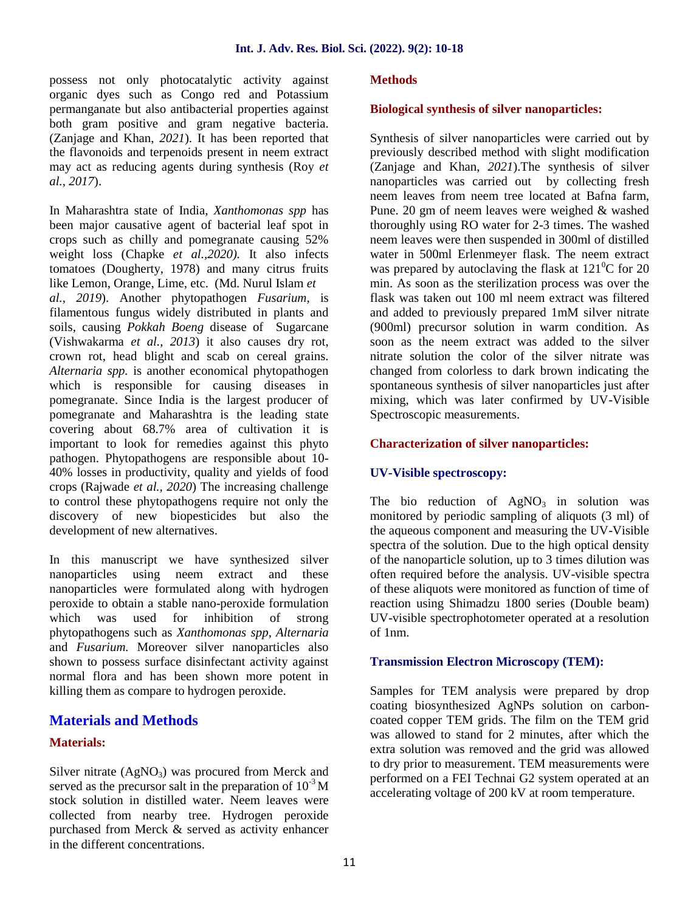possess not only photocatalytic activity against organic dyes such as Congo red and Potassium permanganate but also antibacterial properties against both gram positive and gram negative bacteria. (Zanjage and Khan, *2021*). It has been reported that the flavonoids and terpenoids present in neem extract may act as reducing agents during synthesis (Roy *et al., 2017*).

In Maharashtra state of India, *Xanthomonas spp* has been major causative agent of bacterial leaf spot in crops such as chilly and pomegranate causing 52% weight loss (Chapke *et al.,2020).* It also infects tomatoes (Dougherty, 1978) and many citrus fruits like Lemon, Orange, Lime, etc. (Md. Nurul Islam *et al., 2019*). Another phytopathogen *Fusarium,* is filamentous fungus widely distributed in plants and soils, causing *Pokkah Boeng* disease of Sugarcane (Vishwakarma *et al., 2013*) it also causes dry rot, crown rot, head blight and scab on cereal grains. *Alternaria spp.* is another economical phytopathogen which is responsible for causing diseases in pomegranate. Since India is the largest producer of pomegranate and Maharashtra is the leading state covering about 68.7% area of cultivation it is important to look for remedies against this phyto pathogen. Phytopathogens are responsible about 10- 40% losses in productivity, quality and yields of food crops (Rajwade *et al., 2020*) The increasing challenge to control these phytopathogens require not only the discovery of new biopesticides but also the development of new alternatives.

In this manuscript we have synthesized silver nanoparticles using neem extract and these nanoparticles were formulated along with hydrogen peroxide to obtain a stable nano-peroxide formulation which was used for inhibition of strong phytopathogens such as *Xanthomonas spp*, *Alternaria* and *Fusarium.* Moreover silver nanoparticles also shown to possess surface disinfectant activity against normal flora and has been shown more potent in killing them as compare to hydrogen peroxide.

## **Materials and Methods**

### **Materials:**

Silver nitrate  $(AgNO<sub>3</sub>)$  was procured from Merck and served as the precursor salt in the preparation of  $10^{-3}$  M stock solution in distilled water. Neem leaves were collected from nearby tree. Hydrogen peroxide purchased from Merck & served as activity enhancer in the different concentrations.

#### **Methods**

## **Biological synthesis of silver nanoparticles:**

Synthesis of silver nanoparticles were carried out by previously described method with slight modification (Zanjage and Khan, *2021*).The synthesis of silver nanoparticles was carried out by collecting fresh neem leaves from neem tree located at Bafna farm, Pune. 20 gm of neem leaves were weighed & washed thoroughly using RO water for 2-3 times. The washed neem leaves were then suspended in 300ml of distilled water in 500ml Erlenmeyer flask. The neem extract was prepared by autoclaving the flask at  $121^{\circ}$ C for 20 min. As soon as the sterilization process was over the flask was taken out 100 ml neem extract was filtered and added to previously prepared 1mM silver nitrate (900ml) precursor solution in warm condition. As soon as the neem extract was added to the silver nitrate solution the color of the silver nitrate was changed from colorless to dark brown indicating the spontaneous synthesis of silver nanoparticles just after mixing, which was later confirmed by UV-Visible Spectroscopic measurements.

## **Characterization of silver nanoparticles:**

#### **UV-Visible spectroscopy:**

The bio reduction of  $AgNO_3$  in solution was monitored by periodic sampling of aliquots (3 ml) of the aqueous component and measuring the UV-Visible spectra of the solution. Due to the high optical density of the nanoparticle solution, up to 3 times dilution was often required before the analysis. UV-visible spectra of these aliquots were monitored as function of time of reaction using Shimadzu 1800 series (Double beam) UV-visible spectrophotometer operated at a resolution of 1nm.

#### **Transmission Electron Microscopy (TEM):**

Samples for TEM analysis were prepared by drop coating biosynthesized AgNPs solution on carbon coated copper TEM grids. The film on the TEM grid was allowed to stand for 2 minutes, after which the extra solution was removed and the grid was allowed to dry prior to measurement. TEM measurements were performed on a FEI Technai G2 system operated at an accelerating voltage of 200 kV at room temperature.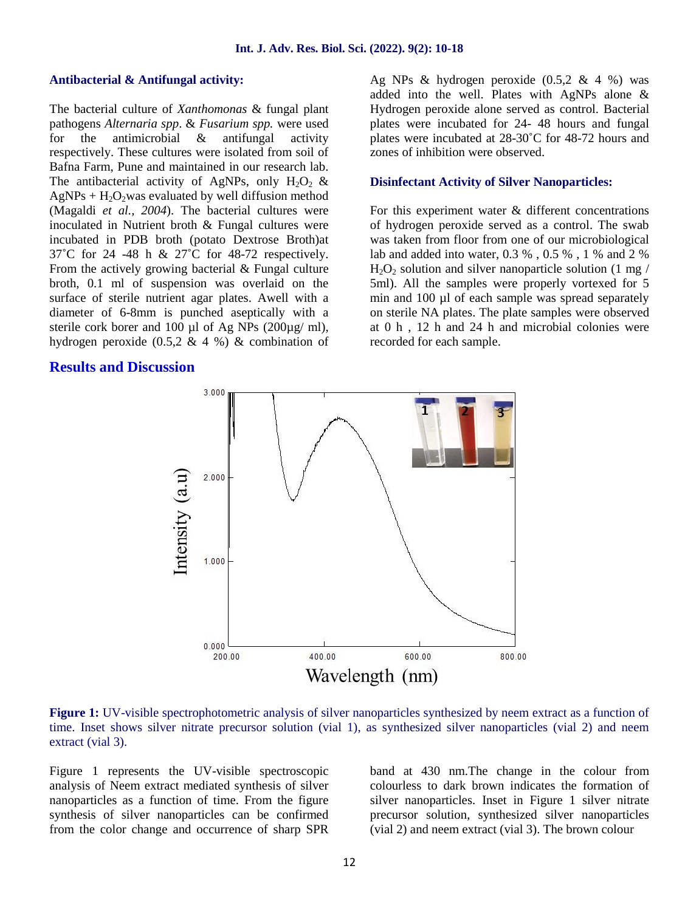#### **Antibacterial & Antifungal activity:**

The bacterial culture of *Xanthomonas* & fungal plant pathogens *Alternaria spp*. & *Fusarium spp.* were used for the antimicrobial & antifungal activity respectively. These cultures were isolated from soil of Bafna Farm, Pune and maintained in our research lab. The antibacterial activity of AgNPs, only  $H_2O_2$  &  $AgNPs + H<sub>2</sub>O<sub>2</sub> was evaluated by well diffusion method$ (Magaldi *et al., 2004*). The bacterial cultures were inoculated in Nutrient broth & Fungal cultures were incubated in PDB broth (potato Dextrose Broth)at 37˚C for 24 -48 h & 27˚C for 48-72 respectively. From the actively growing bacterial & Fungal culture broth, 0.1 ml of suspension was overlaid on the surface of sterile nutrient agar plates. Awell with a diameter of 6-8mm is punched aseptically with a sterile cork borer and 100 µl of Ag NPs  $(200\mu g/m)$ , hydrogen peroxide  $(0.5, 2 \& 4 \%)$  & combination of

### **Results and Discussion**

Ag NPs & hydrogen peroxide  $(0.5, 2 \& 4 \%)$  was added into the well. Plates with AgNPs alone & Hydrogen peroxide alone served as control. Bacterial plates were incubated for 24- 48 hours and fungal plates were incubated at 28-30˚C for 48-72 hours and zones of inhibition were observed.

#### **Disinfectant Activity of Silver Nanoparticles:**

For this experiment water & different concentrations of hydrogen peroxide served as a control. The swab was taken from floor from one of our microbiological lab and added into water, 0.3 % , 0.5 % , 1 % and 2 %  $H_2O_2$  solution and silver nanoparticle solution (1 mg/ 5ml). All the samples were properly vortexed for 5 min and 100 µl of each sample was spread separately on sterile NA plates. The plate samples were observed at 0 h , 12 h and 24 h and microbial colonies were recorded for each sample.



**Figure 1:** UV-visible spectrophotometric analysis of silver nanoparticles synthesized by neem extract as a function of time. Inset shows silver nitrate precursor solution (vial 1), as synthesized silver nanoparticles (vial 2) and neem extract (vial 3).

Figure 1 represents the UV-visible spectroscopic analysis of Neem extract mediated synthesis of silver nanoparticles as a function of time. From the figure synthesis of silver nanoparticles can be confirmed from the color change and occurrence of sharp SPR band at 430 nm.The change in the colour from colourless to dark brown indicates the formation of silver nanoparticles. Inset in Figure 1 silver nitrate precursor solution, synthesized silver nanoparticles (vial 2) and neem extract (vial 3). The brown colour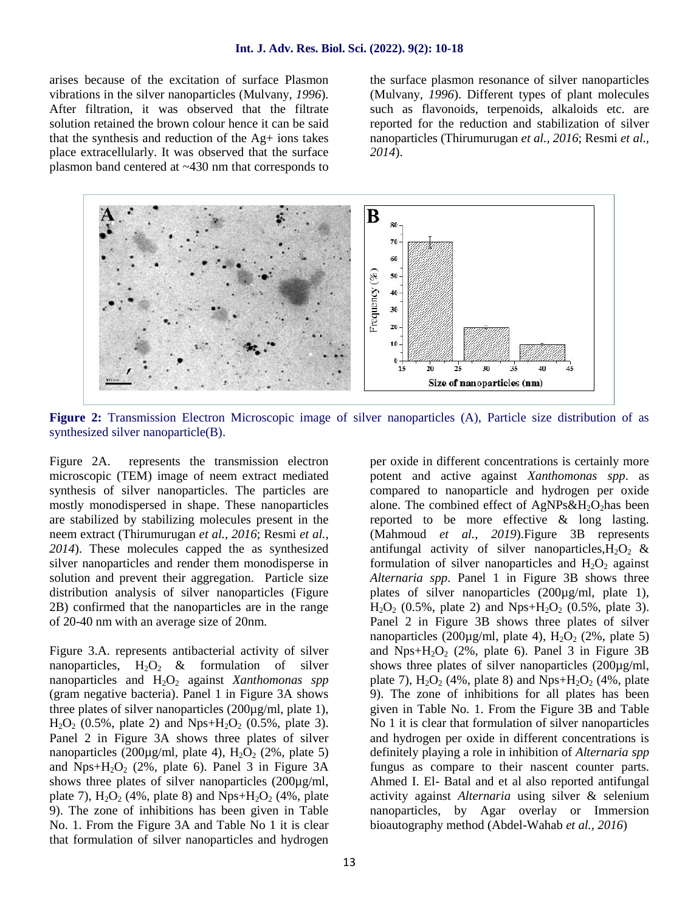arises because of the excitation of surface Plasmon vibrations in the silver nanoparticles (Mulvany, *1996*). After filtration, it was observed that the filtrate solution retained the brown colour hence it can be said that the synthesis and reduction of the Ag+ ions takes place extracellularly. It was observed that the surface plasmon band centered at ~430 nm that corresponds to the surface plasmon resonance of silver nanoparticles (Mulvany, *1996*). Different types of plant molecules such as flavonoids, terpenoids, alkaloids etc. are reported for the reduction and stabilization of silver nanoparticles (Thirumurugan *et al., 2016*; Resmi *et al., 2014*).



**Figure 2:** Transmission Electron Microscopic image of silver nanoparticles (A), Particle size distribution of as synthesized silver nanoparticle(B).

Figure 2A. represents the transmission electron microscopic (TEM) image of neem extract mediated synthesis of silver nanoparticles. The particles are mostly monodispersed in shape. These nanoparticles are stabilized by stabilizing molecules present in the neem extract (Thirumurugan *et al., 2016*; Resmi *et al., 2014*). These molecules capped the as synthesized silver nanoparticles and render them monodisperse in solution and prevent their aggregation. Particle size distribution analysis of silver nanoparticles (Figure 2B) confirmed that the nanoparticles are in the range of 20-40 nm with an average size of 20nm.

Figure 3.A. represents antibacterial activity of silver nanoparticles,  $H_2O_2$  & formulation of silver nanoparticles and H<sub>2</sub>O<sub>2</sub> against *Xanthomonas spp* (gram negative bacteria). Panel 1 in Figure 3A shows three plates of silver nanoparticles (200µg/ml, plate 1),  $H_2O_2$  (0.5%, plate 2) and Nps+ $H_2O_2$  (0.5%, plate 3). Panel 2 in Figure 3A shows three plates of silver nanoparticles (200µg/ml, plate 4),  $H_2O_2$  (2%, plate 5) and  $Nps+H_2O_2$  (2%, plate 6). Panel 3 in Figure 3A shows three plates of silver nanoparticles (200µg/ml, plate 7),  $H_2O_2$  (4%, plate 8) and Nps+ $H_2O_2$  (4%, plate 9). The zone of inhibitions has been given in Table No. 1. From the Figure 3A and Table No 1 it is clear that formulation of silver nanoparticles and hydrogen per oxide in different concentrations is certainly more potent and active against *Xanthomonas spp*. as compared to nanoparticle and hydrogen per oxide alone. The combined effect of  $AgNPs\&H_2O_2$  has been reported to be more effective & long lasting. (Mahmoud *et al., 2019*).Figure 3B represents antifungal activity of silver nanoparticles,  $H_2O_2$  & formulation of silver nanoparticles and  $H_2O_2$  against *Alternaria spp*. Panel 1 in Figure 3B shows three plates of silver nanoparticles (200µg/ml, plate 1),  $H_2O_2$  (0.5%, plate 2) and Nps+ $H_2O_2$  (0.5%, plate 3). Panel 2 in Figure 3B shows three plates of silver nanoparticles (200µg/ml, plate 4),  $H_2O_2$  (2%, plate 5) and Nps+ $H_2O_2$  (2%, plate 6). Panel 3 in Figure 3B shows three plates of silver nanoparticles (200µg/ml, plate 7),  $H_2O_2$  (4%, plate 8) and Nps+ $H_2O_2$  (4%, plate 9). The zone of inhibitions for all plates has been given in Table No. 1. From the Figure 3B and Table No 1 it is clear that formulation of silver nanoparticles and hydrogen per oxide in different concentrations is definitely playing a role in inhibition of *Alternaria spp* fungus as compare to their nascent counter parts. Ahmed I. El- Batal and et al also reported antifungal activity against *Alternaria* using silver & selenium nanoparticles, by Agar overlay or Immersion bioautography method (Abdel-Wahab *et al., 2016*)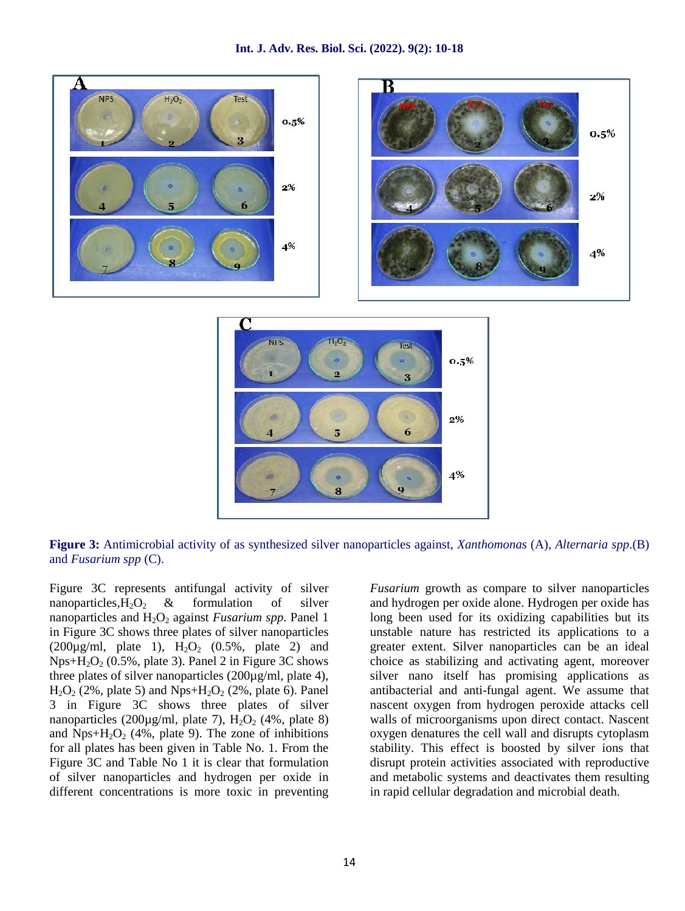



**Figure 3:** Antimicrobial activity of as synthesized silver nanoparticles against, *Xanthomonas* (A), *Alternaria spp*.(B) and *Fusarium spp* (C).

Figure 3C represents antifungal activity of silver nanoparticles,  $H_2O_2$  & formulation of silver nanoparticles and  $H_2O_2$  against *Fusarium spp*. Panel 1 in Figure 3C shows three plates of silver nanoparticles  $(200\mu g/ml, plate 1), H<sub>2</sub>O<sub>2</sub> (0.5%, plate 2) and$ Nps+H<sub>2</sub>O<sub>2</sub> (0.5%, plate 3). Panel 2 in Figure 3C shows three plates of silver nanoparticles (200µg/ml, plate 4),  $H_2O_2$  (2%, plate 5) and Nps+ $H_2O_2$  (2%, plate 6). Panel 3 in Figure 3C shows three plates of silver nanoparticles (200 $\mu$ g/ml, plate 7), H<sub>2</sub>O<sub>2</sub> (4%, plate 8) and  $Nps+H_2O_2$  (4%, plate 9). The zone of inhibitions for all plates has been given in Table No. 1. From the Figure 3C and Table No 1 it is clear that formulation of silver nanoparticles and hydrogen per oxide in different concentrations is more toxic in preventing

*Fusarium* growth as compare to silver nanoparticles and hydrogen per oxide alone. Hydrogen per oxide has long been used for its oxidizing capabilities but its unstable nature has restricted its applications to a greater extent. Silver nanoparticles can be an ideal choice as stabilizing and activating agent, moreover silver nano itself has promising applications as antibacterial and anti-fungal agent. We assume that nascent oxygen from hydrogen peroxide attacks cell walls of microorganisms upon direct contact. Nascent oxygen denatures the cell wall and disrupts cytoplasm stability. This effect is boosted by silver ions that disrupt protein activities associated with reproductive and metabolic systems and deactivates them resulting in rapid cellular degradation and microbial death.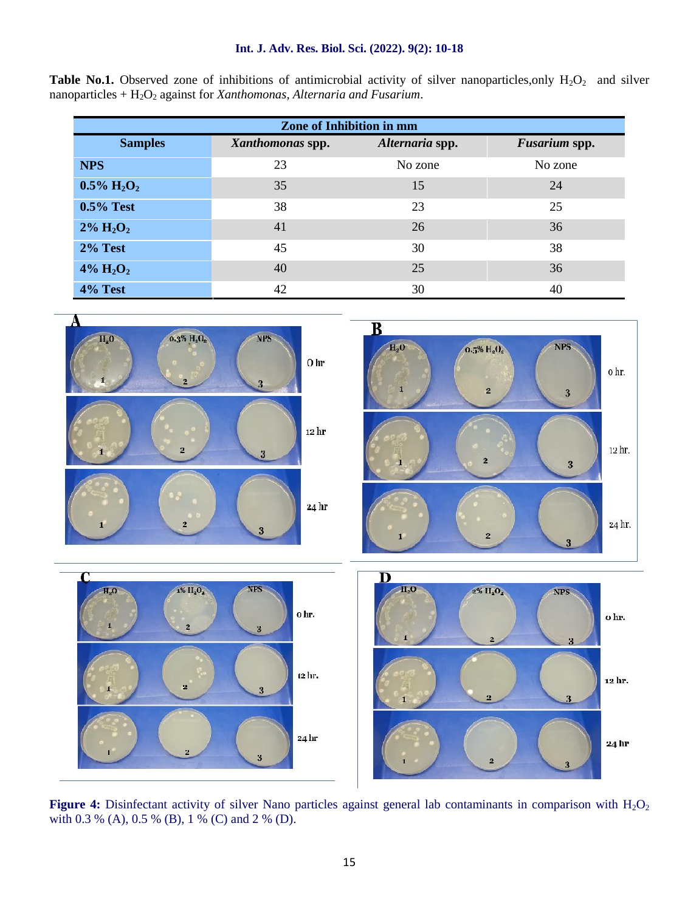#### **Int. J. Adv. Res. Biol. Sci. (2022). 9(2): 10-18**

|                                                                                            |  |  |  |  |  |  |  | <b>Table No.1.</b> Observed zone of inhibitions of antimicrobial activity of silver nanoparticles, only $H_2O_2$ and silver |  |  |  |
|--------------------------------------------------------------------------------------------|--|--|--|--|--|--|--|-----------------------------------------------------------------------------------------------------------------------------|--|--|--|
| nanoparticles + $H_2O_2$ against for <i>Xanthomonas</i> , <i>Alternaria and Fusarium</i> . |  |  |  |  |  |  |  |                                                                                                                             |  |  |  |

| <b>Zone of Inhibition in mm</b> |                  |                 |                      |  |  |  |
|---------------------------------|------------------|-----------------|----------------------|--|--|--|
| <b>Samples</b>                  | Xanthomonas spp. | Alternaria spp. | <b>Fusarium spp.</b> |  |  |  |
| <b>NPS</b>                      | 23               | No zone         | No zone              |  |  |  |
| $0.5\% \text{ H}_2\text{O}_2$   | 35               | 15              | 24                   |  |  |  |
| $0.5\%$ Test                    | 38               | 23              | 25                   |  |  |  |
| $2\% \text{ H}_2\text{O}_2$     | 41               | 26              | 36                   |  |  |  |
| 2% Test                         | 45               | 30              | 38                   |  |  |  |
| $4\% \text{ H}_2\text{O}_2$     | 40               | 25              | 36                   |  |  |  |
| 4% Test                         | 42               | 30              | 40                   |  |  |  |



Figure 4: Disinfectant activity of silver Nano particles against general lab contaminants in comparison with H<sub>2</sub>O<sub>2</sub> with 0.3 % (A), 0.5 % (B), 1 % (C) and 2 % (D).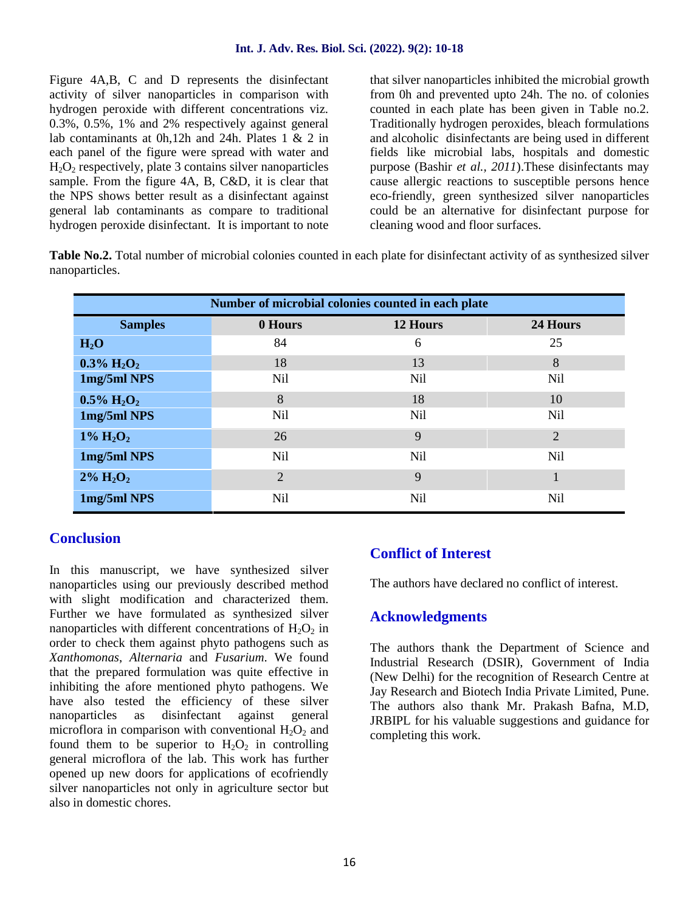Figure 4A,B, C and D represents the disinfectant activity of silver nanoparticles in comparison with hydrogen peroxide with different concentrations viz. 0.3%, 0.5%, 1% and 2% respectively against general lab contaminants at 0h,12h and 24h. Plates 1 & 2 in each panel of the figure were spread with water and  $H_2O_2$  respectively, plate 3 contains silver nanoparticles sample. From the figure 4A, B, C&D, it is clear that the NPS shows better result as a disinfectant against general lab contaminants as compare to traditional hydrogen peroxide disinfectant. It is important to note

that silver nanoparticles inhibited the microbial growth from 0h and prevented upto 24h. The no. of colonies counted in each plate has been given in Table no.2. Traditionally hydrogen peroxides, bleach formulations and alcoholic disinfectants are being used in different fields like microbial labs, hospitals and domestic purpose (Bashir *et al., 2011*).These disinfectants may cause allergic reactions to susceptible persons hence eco-friendly, green synthesized silver nanoparticles could be an alternative for disinfectant purpose for cleaning wood and floor surfaces.

**Table No.2.** Total number of microbial colonies counted in each plate for disinfectant activity of as synthesized silver nanoparticles.

| Number of microbial colonies counted in each plate |                 |                 |                |  |  |  |
|----------------------------------------------------|-----------------|-----------------|----------------|--|--|--|
| <b>Samples</b>                                     | 0 Hours         | 12 Hours        | 24 Hours       |  |  |  |
| $H_2O$                                             | 84              | 6               | 25             |  |  |  |
| $0.3\% \text{ H}_2\text{O}_2$                      | 18              | 13              | 8              |  |  |  |
| 1mg/5ml NPS                                        | <b>Nil</b>      | <b>Nil</b>      | <b>Nil</b>     |  |  |  |
| $0.5\% \text{ H}_2\text{O}_2$                      | 8               | 18              | 10             |  |  |  |
| 1mg/5ml NPS                                        | N <sub>il</sub> | N <sub>il</sub> | <b>Nil</b>     |  |  |  |
| $1\% \text{ H}_2\text{O}_2$                        | 26              | 9               | $\overline{2}$ |  |  |  |
| 1mg/5ml NPS                                        | N <sub>il</sub> | N <sub>il</sub> | <b>Nil</b>     |  |  |  |
| $2\% \text{ H}_2\text{O}_2$                        | 2               | 9               | $\mathbf{1}$   |  |  |  |
| 1mg/5ml NPS                                        | <b>Nil</b>      | Nil             | Nil            |  |  |  |

# **Conclusion**

In this manuscript, we have synthesized silver nanoparticles using our previously described method with slight modification and characterized them. Further we have formulated as synthesized silver nanoparticles with different concentrations of  $H_2O_2$  in order to check them against phyto pathogens such as *Xanthomonas*, *Alternaria* and *Fusarium*. We found that the prepared formulation was quite effective in inhibiting the afore mentioned phyto pathogens. We have also tested the efficiency of these silver nanoparticles as disinfectant against general microflora in comparison with conventional  $H_2O_2$  and found them to be superior to  $H_2O_2$  in controlling general microflora of the lab. This work has further opened up new doors for applications of ecofriendly silver nanoparticles not only in agriculture sector but also in domestic chores.

# **Conflict of Interest**

The authors have declared no conflict of interest.

## **Acknowledgments**

The authors thank the Department of Science and Industrial Research (DSIR), Government of India (New Delhi) for the recognition of Research Centre at Jay Research and Biotech India Private Limited, Pune. The authors also thank Mr. Prakash Bafna, M.D, JRBIPL for his valuable suggestions and guidance for completing this work.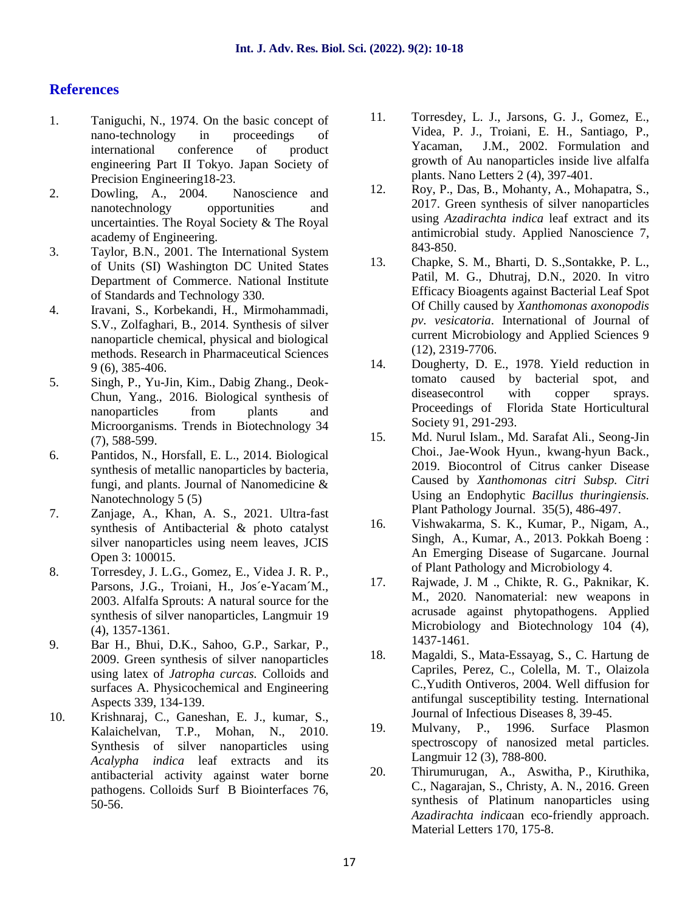# **References**

- 1. Taniguchi, N., 1974. On the basic concept of nano-technology in proceedings of international conference of product engineering Part Tokyo. Japan Society of Precision Engineering18-23.
- 2. Dowling, A., 2004. Nanoscience and <sup>12.</sup> nanotechnology opportunities and uncertainties. The Royal Society & The Royal academy of Engineering.
- 3. Taylor, B.N., 2001. The International System<br>of Unite (SD Weekington DC United States 13. of Units (SI) Washington DC United States Department of Commerce. National Institute of Standards and Technology 330.
- 4. Iravani, S., Korbekandi, H., Mirmohammadi, S.V., Zolfaghari, B., 2014. Synthesis of silver nanoparticle chemical, physical and biological methods. Research in Pharmaceutical Sciences 9 (6), 385-406.
- 5. Singh, P., Yu-Jin, Kim., Dabig Zhang., Deok- Chun, Yang., 2016. Biological synthesis of nanoparticles from plants and Microorganisms. Trends in Biotechnology  $34$  15. (7), 588-599.
- 6. Pantidos, N., Horsfall, E. L., 2014. Biological synthesis of metallic nanoparticles by bacteria, fungi, and plants. Journal of Nanomedicine & Nanotechnology 5 (5)
- 7. Zanjage, A., Khan, A. S., 2021. Ultra-fast synthesis of Antibacterial & photo catalyst silver nanoparticles using neem leaves, JCIS Open 3: 100015.
- 8. Torresdey, J. L.G., Gomez, E., Videa J. R. P., Parsons, J.G., Troiani, H., Jos´e-Yacam´M., 2003. Alfalfa Sprouts: A natural source for the synthesis of silver nanoparticles, Langmuir 19 (4), 1357-1361.
- 9. Bar H., Bhui, D.K., Sahoo, G.P., Sarkar, P., 2009. Green synthesis of silver nanoparticles using latex of *Jatropha curcas.* Colloids and surfaces A. Physicochemical and Engineering Aspects 339, 134-139.
- 10. Krishnaraj, C., Ganeshan, E. J., kumar, S., Kalaichelvan, T.P., Mohan, N., 2010. Synthesis of silver nanoparticles using *Acalypha indica* leaf extracts and its antibacterial activity against water borne 20. pathogens. Colloids Surf B Biointerfaces 76, 50-56.
- 11. Torresdey, L. J., Jarsons, G. J., Gomez, E., Videa, P. J., Troiani, E. H., Santiago, P., Yacaman, J.M., 2002. Formulation and growth of Au nanoparticles inside live alfalfa plants. Nano Letters 2 (4), 397-401.
- 12. Roy, P., Das, B., Mohanty, A., Mohapatra, S., 2017. Green synthesis of silver nanoparticles using *Azadirachta indica* leaf extract and its antimicrobial study. Applied Nanoscience 7, 843-850.
- 13. Chapke, S. M., Bharti, D. S.,Sontakke, P. L., Patil, M. G., Dhutraj, D.N., 2020. In vitro Efficacy Bioagents against Bacterial Leaf Spot Of Chilly caused by *Xanthomonas axonopodis pv. vesicatoria*. International of Journal of current Microbiology and Applied Sciences 9 (12), 2319-7706.
- 14. Dougherty, D. E., 1978. Yield reduction in tomato caused by bacterial spot, and diseasecontrol with copper sprays. Proceedings of Florida State Horticultural Society 91, 291-293.
- 15. Md. Nurul Islam., Md. Sarafat Ali., Seong-Jin Choi., Jae-Wook Hyun., kwang-hyun Back., 2019. Biocontrol of Citrus canker Disease Caused by *Xanthomonas citri Subsp. Citri* Using an Endophytic *Bacillus thuringiensis.* Plant Pathology Journal. 35(5), 486-497.
- 16. Vishwakarma, S. K., Kumar, P., Nigam, A., Singh, A., Kumar, A., 2013. Pokkah Boeng : An Emerging Disease of Sugarcane. Journal of Plant Pathology and Microbiology 4.
- 17. Rajwade, J. M ., Chikte, R. G., Paknikar, K. M., 2020. Nanomaterial: new weapons in acrusade against phytopathogens. Applied Microbiology and Biotechnology 104 (4), 1437-1461.
- 18. Magaldi, S., Mata-Essayag, S., C. Hartung de Capriles, Perez, C., Colella, M. T., Olaizola C.,Yudith Ontiveros, 2004. Well diffusion for antifungal susceptibility testing. International Journal of Infectious Diseases 8, 39-45.
- 19. Mulvany, P., 1996. Surface Plasmon spectroscopy of nanosized metal particles. Langmuir 12 (3), 788-800.
- 20. Thirumurugan, A., Aswitha, P., Kiruthika, C., Nagarajan, S., Christy, A. N., 2016. Green synthesis of Platinum nanoparticles using *Azadirachta indica*an eco-friendly approach. Material Letters 170, 175-8.